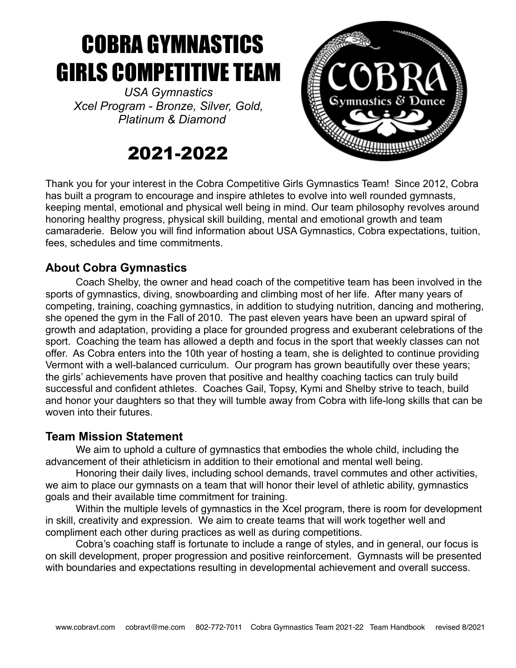# COBRA GYMNASTICS GIRLS COMPETITIVE TEAM

*USA Gymnastics Xcel Program - Bronze, Silver, Gold, Platinum & Diamond* 

# 2021-2022



Thank you for your interest in the Cobra Competitive Girls Gymnastics Team! Since 2012, Cobra has built a program to encourage and inspire athletes to evolve into well rounded gymnasts, keeping mental, emotional and physical well being in mind. Our team philosophy revolves around honoring healthy progress, physical skill building, mental and emotional growth and team camaraderie. Below you will find information about USA Gymnastics, Cobra expectations, tuition, fees, schedules and time commitments.

# **About Cobra Gymnastics**

Coach Shelby, the owner and head coach of the competitive team has been involved in the sports of gymnastics, diving, snowboarding and climbing most of her life. After many years of competing, training, coaching gymnastics, in addition to studying nutrition, dancing and mothering, she opened the gym in the Fall of 2010. The past eleven years have been an upward spiral of growth and adaptation, providing a place for grounded progress and exuberant celebrations of the sport. Coaching the team has allowed a depth and focus in the sport that weekly classes can not offer. As Cobra enters into the 10th year of hosting a team, she is delighted to continue providing Vermont with a well-balanced curriculum. Our program has grown beautifully over these years; the girls' achievements have proven that positive and healthy coaching tactics can truly build successful and confident athletes. Coaches Gail, Topsy, Kymi and Shelby strive to teach, build and honor your daughters so that they will tumble away from Cobra with life-long skills that can be woven into their futures

## **Team Mission Statement**

We aim to uphold a culture of gymnastics that embodies the whole child, including the advancement of their athleticism in addition to their emotional and mental well being.

Honoring their daily lives, including school demands, travel commutes and other activities, we aim to place our gymnasts on a team that will honor their level of athletic ability, gymnastics goals and their available time commitment for training.

Within the multiple levels of gymnastics in the Xcel program, there is room for development in skill, creativity and expression. We aim to create teams that will work together well and compliment each other during practices as well as during competitions.

Cobra's coaching staff is fortunate to include a range of styles, and in general, our focus is on skill development, proper progression and positive reinforcement. Gymnasts will be presented with boundaries and expectations resulting in developmental achievement and overall success.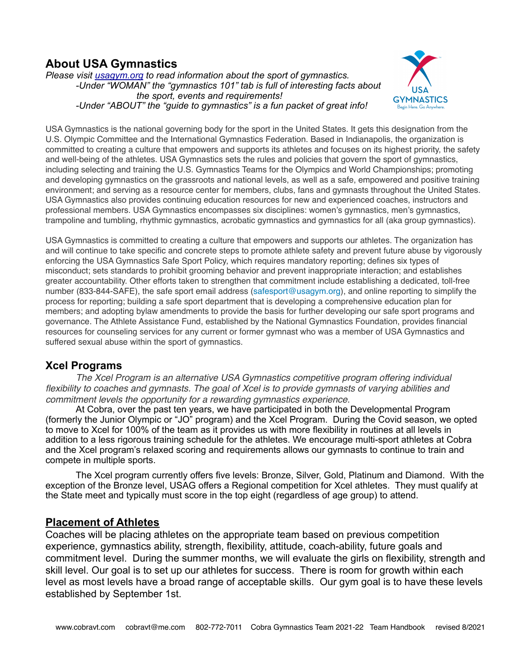# **About USA Gymnastics**

*Please visit [usagym.org](http://usagym.org) to read information about the sport of gymnastics. -Under "WOMAN" the "gymnastics 101" tab is full of interesting facts about the sport, events and requirements! -Under "ABOUT" the "guide to gymnastics" is a fun packet of great info!*



USA Gymnastics is the national governing body for the sport in the United States. It gets this designation from the U.S. Olympic Committee and the International Gymnastics Federation. Based in Indianapolis, the organization is committed to creating a culture that empowers and supports its athletes and focuses on its highest priority, the safety and well-being of the athletes. USA Gymnastics sets the rules and policies that govern the sport of gymnastics, including selecting and training the U.S. Gymnastics Teams for the Olympics and World Championships; promoting and developing gymnastics on the grassroots and national levels, as well as a safe, empowered and positive training environment; and serving as a resource center for members, clubs, fans and gymnasts throughout the United States. USA Gymnastics also provides continuing education resources for new and experienced coaches, instructors and professional members. USA Gymnastics encompasses six disciplines: women's gymnastics, men's gymnastics, trampoline and tumbling, rhythmic gymnastics, acrobatic gymnastics and gymnastics for all (aka group gymnastics).

USA Gymnastics is committed to creating a culture that empowers and supports our athletes. The organization has and will continue to take specific and concrete steps to promote athlete safety and prevent future abuse by vigorously enforcing the USA Gymnastics Safe Sport Policy, which requires mandatory reporting; defines six types of misconduct; sets standards to prohibit grooming behavior and prevent inappropriate interaction; and establishes greater accountability. Other efforts taken to strengthen that commitment include establishing a dedicated, toll-free number (833-844-SAFE), the safe sport email address ([safesport@usagym.org](mailto:safesport@usagym.org)), and online reporting to simplify the process for reporting; building a safe sport department that is developing a comprehensive education plan for members; and adopting bylaw amendments to provide the basis for further developing our safe sport programs and governance. The Athlete Assistance Fund, established by the National Gymnastics Foundation, provides financial resources for counseling services for any current or former gymnast who was a member of USA Gymnastics and suffered sexual abuse within the sport of gymnastics.

### **Xcel Programs**

*The Xcel Program is an alternative USA Gymnastics competitive program offering individual*  flexibility to coaches and gymnasts. The goal of Xcel is to provide gymnasts of varying abilities and *commitment levels the opportunity for a rewarding gymnastics experience.* 

At Cobra, over the past ten years, we have participated in both the Developmental Program (formerly the Junior Olympic or "JO" program) and the Xcel Program. During the Covid season, we opted to move to Xcel for 100% of the team as it provides us with more flexibility in routines at all levels in addition to a less rigorous training schedule for the athletes. We encourage multi-sport athletes at Cobra and the Xcel program's relaxed scoring and requirements allows our gymnasts to continue to train and compete in multiple sports.

The Xcel program currently offers five levels: Bronze, Silver, Gold, Platinum and Diamond. With the exception of the Bronze level, USAG offers a Regional competition for Xcel athletes. They must qualify at the State meet and typically must score in the top eight (regardless of age group) to attend.

#### **Placement of Athletes**

Coaches will be placing athletes on the appropriate team based on previous competition experience, gymnastics ability, strength, flexibility, attitude, coach-ability, future goals and commitment level. During the summer months, we will evaluate the girls on flexibility, strength and skill level. Our goal is to set up our athletes for success. There is room for growth within each level as most levels have a broad range of acceptable skills. Our gym goal is to have these levels established by September 1st.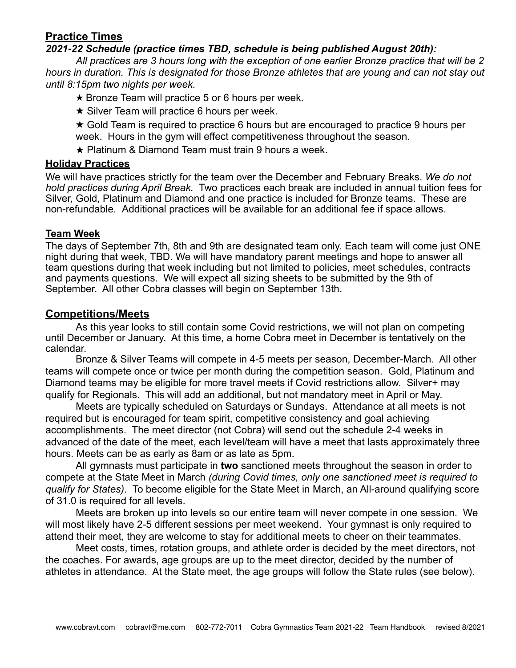#### **Practice Times**

#### *2021-22 Schedule (practice times TBD, schedule is being published August 20th):*

*All practices are 3 hours long with the exception of one earlier Bronze practice that will be 2 hours in duration. This is designated for those Bronze athletes that are young and can not stay out until 8:15pm two nights per week.*

★ Bronze Team will practice 5 or 6 hours per week.

 $\star$  Silver Team will practice 6 hours per week.

★ Gold Team is required to practice 6 hours but are encouraged to practice 9 hours per week. Hours in the gym will effect competitiveness throughout the season.

★ Platinum & Diamond Team must train 9 hours a week.

#### **Holiday Practices**

We will have practices strictly for the team over the December and February Breaks. *We do not hold practices during April Break.* Two practices each break are included in annual tuition fees for Silver, Gold, Platinum and Diamond and one practice is included for Bronze teams. These are non-refundable*.* Additional practices will be available for an additional fee if space allows.

#### **Team Week**

The days of September 7th, 8th and 9th are designated team only. Each team will come just ONE night during that week, TBD. We will have mandatory parent meetings and hope to answer all team questions during that week including but not limited to policies, meet schedules, contracts and payments questions. We will expect all sizing sheets to be submitted by the 9th of September. All other Cobra classes will begin on September 13th.

#### **Competitions/Meets**

As this year looks to still contain some Covid restrictions, we will not plan on competing until December or January. At this time, a home Cobra meet in December is tentatively on the calendar.

Bronze & Silver Teams will compete in 4-5 meets per season, December-March. All other teams will compete once or twice per month during the competition season. Gold, Platinum and Diamond teams may be eligible for more travel meets if Covid restrictions allow. Silver+ may qualify for Regionals. This will add an additional, but not mandatory meet in April or May.

Meets are typically scheduled on Saturdays or Sundays. Attendance at all meets is not required but is encouraged for team spirit, competitive consistency and goal achieving accomplishments. The meet director (not Cobra) will send out the schedule 2-4 weeks in advanced of the date of the meet, each level/team will have a meet that lasts approximately three hours. Meets can be as early as 8am or as late as 5pm.

All gymnasts must participate in **two** sanctioned meets throughout the season in order to compete at the State Meet in March *(during Covid times, only one sanctioned meet is required to qualify for States)*. To become eligible for the State Meet in March, an All-around qualifying score of 31.0 is required for all levels.

Meets are broken up into levels so our entire team will never compete in one session. We will most likely have 2-5 different sessions per meet weekend. Your gymnast is only required to attend their meet, they are welcome to stay for additional meets to cheer on their teammates.

Meet costs, times, rotation groups, and athlete order is decided by the meet directors, not the coaches. For awards, age groups are up to the meet director, decided by the number of athletes in attendance. At the State meet, the age groups will follow the State rules (see below).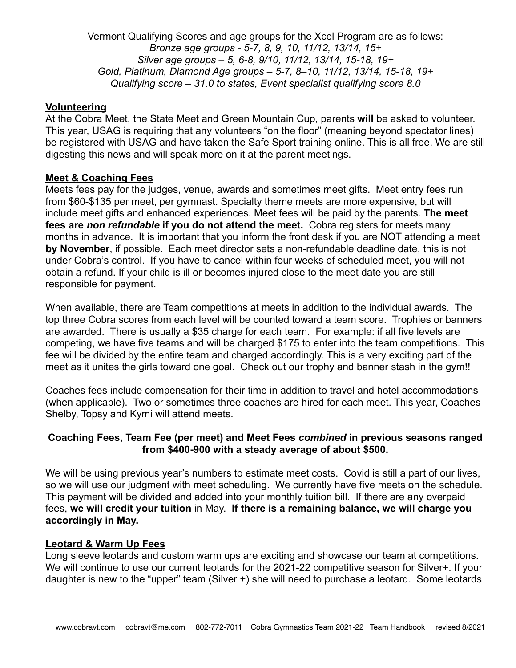Vermont Qualifying Scores and age groups for the Xcel Program are as follows: *Bronze age groups - 5-7, 8, 9, 10, 11/12, 13/14, 15+ Silver age groups – 5, 6-8, 9/10, 11/12, 13/14, 15-18, 19+ Gold, Platinum, Diamond Age groups – 5-7, 8–10, 11/12, 13/14, 15-18, 19+ Qualifying score – 31.0 to states, Event specialist qualifying score 8.0*

#### **Volunteering**

At the Cobra Meet, the State Meet and Green Mountain Cup, parents **will** be asked to volunteer. This year, USAG is requiring that any volunteers "on the floor" (meaning beyond spectator lines) be registered with USAG and have taken the Safe Sport training online. This is all free. We are still digesting this news and will speak more on it at the parent meetings.

#### **Meet & Coaching Fees**

Meets fees pay for the judges, venue, awards and sometimes meet gifts. Meet entry fees run from \$60-\$135 per meet, per gymnast. Specialty theme meets are more expensive, but will include meet gifts and enhanced experiences. Meet fees will be paid by the parents. **The meet fees are** *non refundable* **if you do not attend the meet.** Cobra registers for meets many months in advance. It is important that you inform the front desk if you are NOT attending a meet **by November**, if possible. Each meet director sets a non-refundable deadline date, this is not under Cobra's control. If you have to cancel within four weeks of scheduled meet, you will not obtain a refund. If your child is ill or becomes injured close to the meet date you are still responsible for payment.

When available, there are Team competitions at meets in addition to the individual awards. The top three Cobra scores from each level will be counted toward a team score. Trophies or banners are awarded. There is usually a \$35 charge for each team. For example: if all five levels are competing, we have five teams and will be charged \$175 to enter into the team competitions. This fee will be divided by the entire team and charged accordingly. This is a very exciting part of the meet as it unites the girls toward one goal. Check out our trophy and banner stash in the gym!!

Coaches fees include compensation for their time in addition to travel and hotel accommodations (when applicable). Two or sometimes three coaches are hired for each meet. This year, Coaches Shelby, Topsy and Kymi will attend meets.

#### **Coaching Fees, Team Fee (per meet) and Meet Fees** *combined* **in previous seasons ranged from \$400-900 with a steady average of about \$500.**

We will be using previous year's numbers to estimate meet costs. Covid is still a part of our lives, so we will use our judgment with meet scheduling. We currently have five meets on the schedule. This payment will be divided and added into your monthly tuition bill. If there are any overpaid fees, **we will credit your tuition** in May. **If there is a remaining balance, we will charge you accordingly in May.** 

#### **Leotard & Warm Up Fees**

Long sleeve leotards and custom warm ups are exciting and showcase our team at competitions. We will continue to use our current leotards for the 2021-22 competitive season for Silver+. If your daughter is new to the "upper" team (Silver +) she will need to purchase a leotard. Some leotards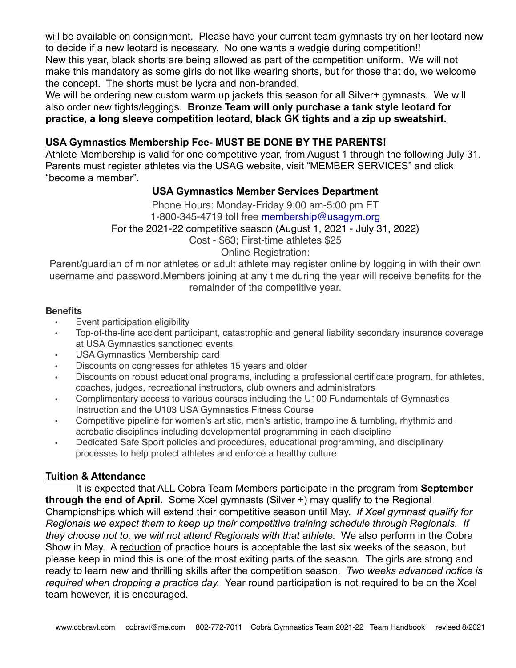will be available on consignment. Please have your current team gymnasts try on her leotard now to decide if a new leotard is necessary. No one wants a wedgie during competition!! New this year, black shorts are being allowed as part of the competition uniform. We will not make this mandatory as some girls do not like wearing shorts, but for those that do, we welcome the concept. The shorts must be lycra and non-branded.

We will be ordering new custom warm up jackets this season for all Silver+ gymnasts. We will also order new tights/leggings. **Bronze Team will only purchase a tank style leotard for practice, a long sleeve competition leotard, black GK tights and a zip up sweatshirt.**

#### **USA Gymnastics Membership Fee- MUST BE DONE BY THE PARENTS!**

Athlete Membership is valid for one competitive year, from August 1 through the following July 31. Parents must register athletes via the USAG website, visit "MEMBER SERVICES" and click "become a member".

#### **USA Gymnastics Member Services Department**

Phone Hours: Monday-Friday 9:00 am-5:00 pm ET 1-800-345-4719 toll free [membership@usagym.org](mailto:membership@usagym.org) For the 2021-22 competitive season (August 1, 2021 - July 31, 2022) Cost - \$63; First-time athletes \$25 Online Registration:

Parent/guardian of minor athletes or adult athlete may register online by logging in with their own username and password.Members joining at any time during the year will receive benefits for the remainder of the competitive year.

#### **Benefits**

- Event participation eligibility
- Top-of-the-line accident participant, catastrophic and general liability secondary insurance coverage at USA Gymnastics sanctioned events
- USA Gymnastics Membership card
- Discounts on congresses for athletes 15 years and older
- Discounts on robust educational programs, including a professional certificate program, for athletes, coaches, judges, recreational instructors, club owners and administrators
- Complimentary access to various courses including the U100 Fundamentals of Gymnastics Instruction and the U103 USA Gymnastics Fitness Course
- Competitive pipeline for women's artistic, men's artistic, trampoline & tumbling, rhythmic and acrobatic disciplines including developmental programming in each discipline
- Dedicated Safe Sport policies and procedures, educational programming, and disciplinary processes to help protect athletes and enforce a healthy culture

#### **Tuition & Attendance**

It is expected that ALL Cobra Team Members participate in the program from **September through the end of April.** Some Xcel gymnasts (Silver +) may qualify to the Regional Championships which will extend their competitive season until May. *If Xcel gymnast qualify for Regionals we expect them to keep up their competitive training schedule through Regionals. If they choose not to, we will not attend Regionals with that athlete.* We also perform in the Cobra Show in May. A reduction of practice hours is acceptable the last six weeks of the season, but please keep in mind this is one of the most exiting parts of the season. The girls are strong and ready to learn new and thrilling skills after the competition season. *Two weeks advanced notice is required when dropping a practice day.* Year round participation is not required to be on the Xcel team however, it is encouraged.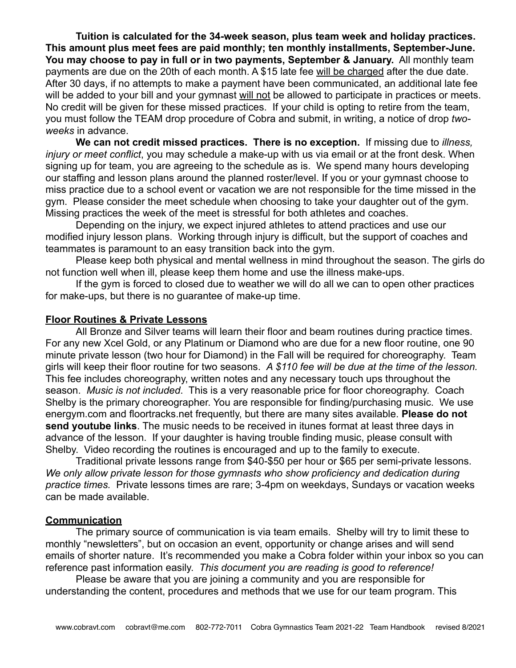**Tuition is calculated for the 34-week season, plus team week and holiday practices. This amount plus meet fees are paid monthly; ten monthly installments, September-June. You may choose to pay in full or in two payments, September & January.** All monthly team payments are due on the 20th of each month. A \$15 late fee will be charged after the due date. After 30 days, if no attempts to make a payment have been communicated, an additional late fee will be added to your bill and your gymnast will not be allowed to participate in practices or meets. No credit will be given for these missed practices. If your child is opting to retire from the team, you must follow the TEAM drop procedure of Cobra and submit, in writing, a notice of drop *twoweeks* in advance.

**We can not credit missed practices. There is no exception.** If missing due to *illness, injury or meet conflict*, you may schedule a make-up with us via email or at the front desk. When signing up for team, you are agreeing to the schedule as is. We spend many hours developing our staffing and lesson plans around the planned roster/level. If you or your gymnast choose to miss practice due to a school event or vacation we are not responsible for the time missed in the gym. Please consider the meet schedule when choosing to take your daughter out of the gym. Missing practices the week of the meet is stressful for both athletes and coaches.

Depending on the injury, we expect injured athletes to attend practices and use our modified injury lesson plans. Working through injury is difficult, but the support of coaches and teammates is paramount to an easy transition back into the gym.

Please keep both physical and mental wellness in mind throughout the season. The girls do not function well when ill, please keep them home and use the illness make-ups.

If the gym is forced to closed due to weather we will do all we can to open other practices for make-ups, but there is no guarantee of make-up time.

#### **Floor Routines & Private Lessons**

All Bronze and Silver teams will learn their floor and beam routines during practice times. For any new Xcel Gold, or any Platinum or Diamond who are due for a new floor routine, one 90 minute private lesson (two hour for Diamond) in the Fall will be required for choreography. Team girls will keep their floor routine for two seasons. *A \$110 fee will be due at the time of the lesson.* This fee includes choreography, written notes and any necessary touch ups throughout the season. *Music is not included*. This is a very reasonable price for floor choreography. Coach Shelby is the primary choreographer. You are responsible for finding/purchasing music. We use [energym.com](http://energym.com) and floortracks.net frequently, but there are many sites available. **Please do not send youtube links**. The music needs to be received in itunes format at least three days in advance of the lesson. If your daughter is having trouble finding music, please consult with Shelby. Video recording the routines is encouraged and up to the family to execute.

Traditional private lessons range from \$40-\$50 per hour or \$65 per semi-private lessons. *We only allow private lesson for those gymnasts who show proficiency and dedication during practice times.* Private lessons times are rare; 3-4pm on weekdays, Sundays or vacation weeks can be made available.

#### **Communication**

The primary source of communication is via team emails. Shelby will try to limit these to monthly "newsletters", but on occasion an event, opportunity or change arises and will send emails of shorter nature. It's recommended you make a Cobra folder within your inbox so you can reference past information easily. *This document you are reading is good to reference!*

Please be aware that you are joining a community and you are responsible for understanding the content, procedures and methods that we use for our team program. This